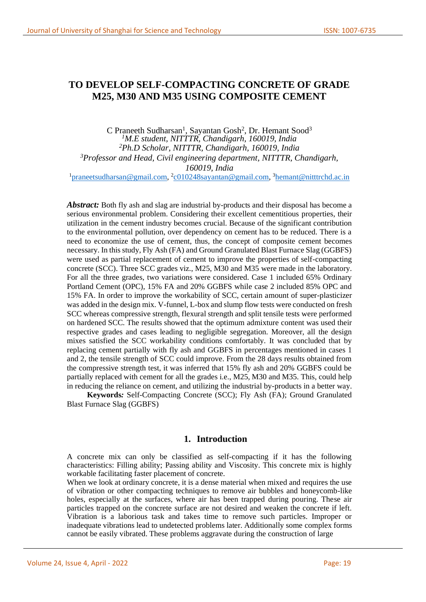# **TO DEVELOP SELF-COMPACTING CONCRETE OF GRADE M25, M30 AND M35 USING COMPOSITE CEMENT**

C Praneeth Sudharsan<sup>1</sup>, Sayantan Gosh<sup>2</sup>, Dr. Hemant Sood<sup>3</sup> *<sup>1</sup>M.E student, NITTTR, Chandigarh, 160019, India <sup>2</sup>Ph.D Scholar, NITTTR, Chandigarh, 160019, India <sup>3</sup>Professor and Head, Civil engineering department, NITTTR, Chandigarh, 160019, India* <sup>1</sup>[praneetsudharsan@gmail.com,](mailto:praneetsudharsan@gmail.com) <sup>2</sup>[c010248sayantan@gmail.com,](mailto:c010248sayantan@gmail.com) <sup>3</sup>[hemant@nitttrchd.ac.in](mailto:hemant@nitttrchd.ac.in)

Abstract: Both fly ash and slag are industrial by-products and their disposal has become a serious environmental problem. Considering their excellent cementitious properties, their utilization in the cement industry becomes crucial. Because of the significant contribution to the environmental pollution, over dependency on cement has to be reduced. There is a need to economize the use of cement, thus, the concept of composite cement becomes necessary. In this study, Fly Ash (FA) and Ground Granulated Blast Furnace Slag (GGBFS) were used as partial replacement of cement to improve the properties of self-compacting concrete (SCC). Three SCC grades viz., M25, M30 and M35 were made in the laboratory. For all the three grades, two variations were considered. Case 1 included 65% Ordinary Portland Cement (OPC), 15% FA and 20% GGBFS while case 2 included 85% OPC and 15% FA. In order to improve the workability of SCC, certain amount of super-plasticizer was added in the design mix. V-funnel, L-box and slump flow tests were conducted on fresh SCC whereas compressive strength, flexural strength and split tensile tests were performed on hardened SCC. The results showed that the optimum admixture content was used their respective grades and cases leading to negligible segregation. Moreover, all the design mixes satisfied the SCC workability conditions comfortably. It was concluded that by replacing cement partially with fly ash and GGBFS in percentages mentioned in cases 1 and 2, the tensile strength of SCC could improve. From the 28 days results obtained from the compressive strength test, it was inferred that 15% fly ash and 20% GGBFS could be partially replaced with cement for all the grades i.e., M25, M30 and M35. This, could help in reducing the reliance on cement, and utilizing the industrial by-products in a better way.

**Keywords***:* Self-Compacting Concrete (SCC); Fly Ash (FA); Ground Granulated Blast Furnace Slag (GGBFS)

### **1. Introduction**

A concrete mix can only be classified as self-compacting if it has the following characteristics: Filling ability; Passing ability and Viscosity. This concrete mix is highly workable facilitating faster placement of concrete.

When we look at ordinary concrete, it is a dense material when mixed and requires the use of vibration or other compacting techniques to remove air bubbles and honeycomb-like holes, especially at the surfaces, where air has been trapped during pouring. These air particles trapped on the concrete surface are not desired and weaken the concrete if left. Vibration is a laborious task and takes time to remove such particles. Improper or inadequate vibrations lead to undetected problems later. Additionally some complex forms cannot be easily vibrated. These problems aggravate during the construction of large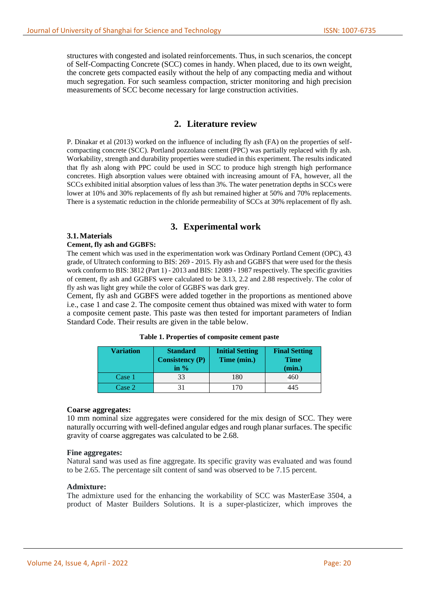structures with congested and isolated reinforcements. Thus, in such scenarios, the concept of Self-Compacting Concrete (SCC) comes in handy. When placed, due to its own weight, the concrete gets compacted easily without the help of any compacting media and without much segregation. For such seamless compaction, stricter monitoring and high precision measurements of SCC become necessary for large construction activities.

### **2. Literature review**

P. Dinakar et al (2013) worked on the influence of including fly ash (FA) on the properties of selfcompacting concrete (SCC). Portland pozzolana cement (PPC) was partially replaced with fly ash. Workability, strength and durability properties were studied in this experiment. The results indicated that fly ash along with PPC could be used in SCC to produce high strength high performance concretes. High absorption values were obtained with increasing amount of FA, however, all the SCCs exhibited initial absorption values of less than 3%. The water penetration depths in SCCs were lower at 10% and 30% replacements of fly ash but remained higher at 50% and 70% replacements. There is a systematic reduction in the chloride permeability of SCCs at 30% replacement of fly ash.

#### **3. Experimental work**

#### **3.1.Materials**

#### **Cement, fly ash and GGBFS:**

The cement which was used in the experimentation work was Ordinary Portland Cement (OPC), 43 grade, of Ultratech conforming to BIS: 269 - 2015. Fly ash and GGBFS that were used for the thesis work conform to BIS: 3812 (Part 1) - 2013 and BIS: 12089 - 1987 respectively. The specific gravities of cement, fly ash and GGBFS were calculated to be 3.13, 2.2 and 2.88 respectively. The color of fly ash was light grey while the color of GGBFS was dark grey.

Cement, fly ash and GGBFS were added together in the proportions as mentioned above i.e., case 1 and case 2. The composite cement thus obtained was mixed with water to form a composite cement paste. This paste was then tested for important parameters of Indian Standard Code. Their results are given in the table below.

| <b>Variation</b> | <b>Standard</b><br><b>Consistency (P)</b><br>in $%$ | <b>Initial Setting</b><br>Time (min.) | <b>Final Setting</b><br><b>Time</b><br>(min.) |
|------------------|-----------------------------------------------------|---------------------------------------|-----------------------------------------------|
| Case 1           | 33                                                  | 180                                   | 460                                           |
| Case 2           |                                                     | 170                                   | 445                                           |

| Table 1. Properties of composite cement paste |  |  |  |  |
|-----------------------------------------------|--|--|--|--|
|-----------------------------------------------|--|--|--|--|

#### **Coarse aggregates:**

10 mm nominal size aggregates were considered for the mix design of SCC. They were naturally occurring with well-defined angular edges and rough planar surfaces. The specific gravity of coarse aggregates was calculated to be 2.68.

#### **Fine aggregates:**

Natural sand was used as fine aggregate. Its specific gravity was evaluated and was found to be 2.65. The percentage silt content of sand was observed to be 7.15 percent.

#### **Admixture:**

The admixture used for the enhancing the workability of SCC was MasterEase 3504, a product of Master Builders Solutions. It is a super-plasticizer, which improves the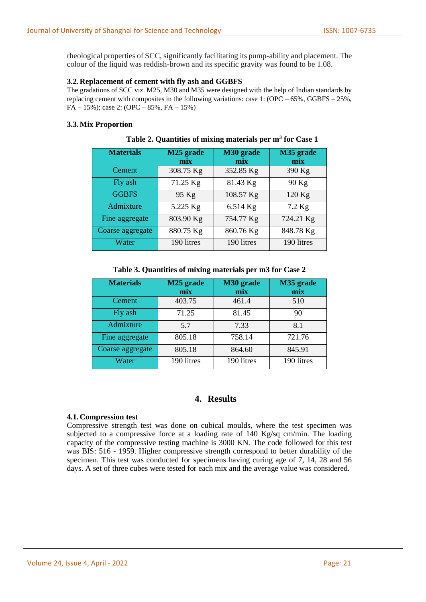rheological properties of SCC, significantly facilitating its pump-ability and placement. The colour of the liquid was reddish-brown and its specific gravity was found to be 1.08.

#### **3.2.Replacement of cement with fly ash and GGBFS**

The gradations of SCC viz. M25, M30 and M35 were designed with the help of Indian standards by replacing cement with composites in the following variations: case 1:  $(\text{OPC} - 65\%$ , GGBFS – 25%,  $FA - 15\%$ ; case 2: (OPC – 85%,  $FA - 15\%$ )

### **3.3.Mix Proportion**

| <b>Materials</b> | M25 grade<br>mix | M30 grade<br>mix | M35 grade<br>mix |
|------------------|------------------|------------------|------------------|
| Cement           | 308.75 Kg        | 352.85 Kg        | 390 Kg           |
| Fly ash          | 71.25 Kg         | 81.43 Kg         | 90 Kg            |
| <b>GGBFS</b>     | 95 Kg            | 108.57 Kg        | 120 Kg           |
| Admixture        | 5.225 Kg         | 6.514 Kg         | 7.2 Kg           |
| Fine aggregate   | 803.90 Kg        | 754.77 Kg        | 724.21 Kg        |
| Coarse aggregate | 880.75 Kg        | 860.76 Kg        | 848.78 Kg        |
| Water            | 190 litres       | 190 litres       | 190 litres       |

**Table 2. Quantities of mixing materials per m<sup>3</sup> for Case 1**

#### **Table 3. Quantities of mixing materials per m3 for Case 2**

| <b>Materials</b> | M25 grade<br>mix | M30 grade<br>mix | M35 grade<br>mix |
|------------------|------------------|------------------|------------------|
| Cement           | 403.75           | 461.4            | 510              |
| Fly ash          | 71.25            | 81.45            | 90               |
| Admixture        | 5.7              | 7.33             | 8.1              |
| Fine aggregate   | 805.18           | 758.14           | 721.76           |
| Coarse aggregate | 805.18           | 864.60           | 845.91           |
| Water            | 190 litres       | 190 litres       | 190 litres       |

# **4. Results**

#### **4.1.Compression test**

Compressive strength test was done on cubical moulds, where the test specimen was subjected to a compressive force at a loading rate of 140 Kg/sq cm/min. The loading capacity of the compressive testing machine is 3000 KN. The code followed for this test was BIS: 516 - 1959. Higher compressive strength correspond to better durability of the specimen. This test was conducted for specimens having curing age of 7, 14, 28 and 56 days. A set of three cubes were tested for each mix and the average value was considered.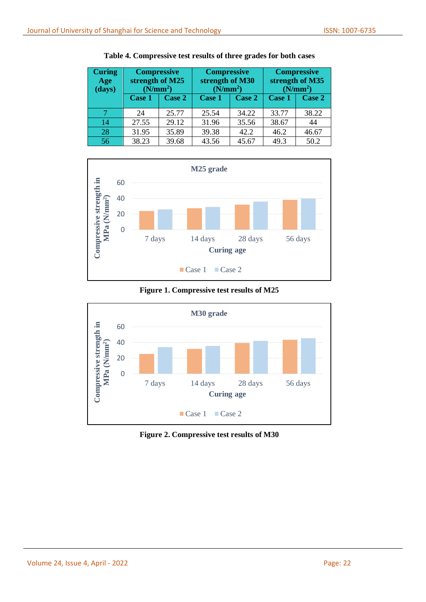| <b>Curing</b><br>Age<br>(days) | <b>Compressive</b><br>strength of M25<br>(N/mm <sup>2</sup> ) |        | <b>Compressive</b><br>strength of M30<br>(N/mm <sup>2</sup> ) |       | <b>Compressive</b><br>strength of M35<br>(N/mm <sup>2</sup> ) |        |
|--------------------------------|---------------------------------------------------------------|--------|---------------------------------------------------------------|-------|---------------------------------------------------------------|--------|
|                                | Case 1                                                        | Case 2 | Case 2<br>Case 1                                              |       | Case 1                                                        | Case 2 |
|                                | 24                                                            | 25.77  | 25.54                                                         | 34.22 | 33.77                                                         | 38.22  |
| 14                             | 27.55                                                         | 29.12  | 31.96                                                         | 35.56 | 38.67                                                         | 44     |
| 28                             | 31.95                                                         | 35.89  | 39.38                                                         | 42.2  | 46.2                                                          | 46.67  |
| 56                             | 38.23                                                         | 39.68  | 43.56                                                         | 45.67 | 49.3                                                          | 50.2   |

**Table 4. Compressive test results of three grades for both cases**



**Figure 1. Compressive test results of M25**



**Figure 2. Compressive test results of M30**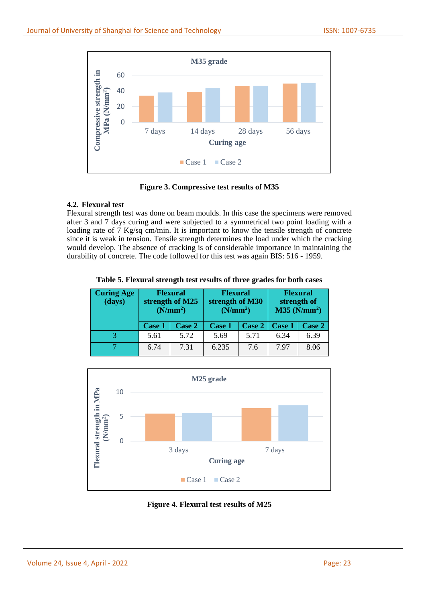

**Figure 3. Compressive test results of M35**

# **4.2. Flexural test**

Flexural strength test was done on beam moulds. In this case the specimens were removed after 3 and 7 days curing and were subjected to a symmetrical two point loading with a loading rate of 7 Kg/sq cm/min. It is important to know the tensile strength of concrete since it is weak in tension. Tensile strength determines the load under which the cracking would develop. The absence of cracking is of considerable importance in maintaining the durability of concrete. The code followed for this test was again BIS: 516 - 1959.

| Table 5. Flexural strength test results of three grades for both cases |  |
|------------------------------------------------------------------------|--|
|------------------------------------------------------------------------|--|

| <b>Curing Age</b><br>(days) | <b>Flexural</b><br>strength of M25<br>(N/mm <sup>2</sup> ) |               | <b>Flexural</b><br>strength of M30<br>(N/mm <sup>2</sup> ) |        | <b>Flexural</b><br>strength of<br>M35 (N/mm <sup>2</sup> ) |        |
|-----------------------------|------------------------------------------------------------|---------------|------------------------------------------------------------|--------|------------------------------------------------------------|--------|
|                             | <b>Case 1</b>                                              | <b>Case 2</b> | <b>Case 1</b>                                              | Case 2 | <b>Case 1</b>                                              | Case 2 |
|                             | 5.61                                                       | 5.72          | 5.69                                                       | 5.71   | 6.34                                                       | 6.39   |
|                             | 6.74                                                       | 7.31          | 6.235                                                      | 7.6    | 797                                                        | 8.06   |



**Figure 4. Flexural test results of M25**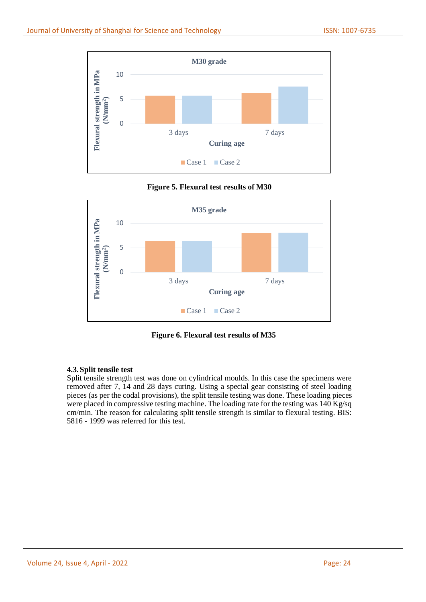

**Figure 5. Flexural test results of M30**



**Figure 6. Flexural test results of M35**

### **4.3.Split tensile test**

Split tensile strength test was done on cylindrical moulds. In this case the specimens were removed after 7, 14 and 28 days curing. Using a special gear consisting of steel loading pieces (as per the codal provisions), the split tensile testing was done. These loading pieces were placed in compressive testing machine. The loading rate for the testing was 140 Kg/sq cm/min. The reason for calculating split tensile strength is similar to flexural testing. BIS: 5816 - 1999 was referred for this test.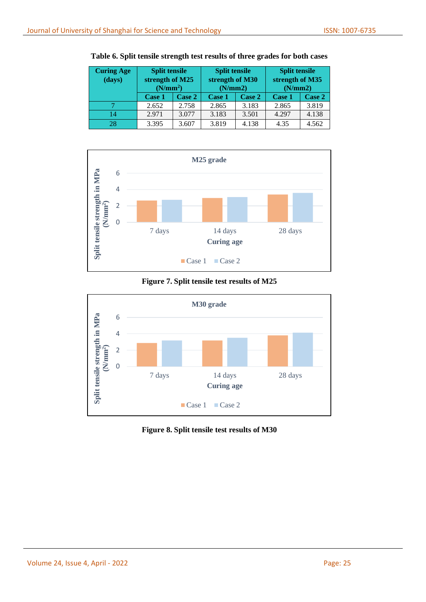| <b>Curing Age</b><br>(days) | <b>Split tensile</b><br>strength of M25<br>(N/mm <sup>2</sup> ) |        | <b>Split tensile</b><br>strength of M30<br>(N/mm 2) |        | <b>Split tensile</b><br>strength of M35<br>(N/mm 2) |        |
|-----------------------------|-----------------------------------------------------------------|--------|-----------------------------------------------------|--------|-----------------------------------------------------|--------|
|                             | Case 1                                                          | Case 2 | Case 1                                              | Case 2 | Case 1                                              | Case 2 |
|                             | 2.652                                                           | 2.758  | 2.865                                               | 3.183  | 2.865                                               | 3.819  |
| 14                          | 2.971                                                           | 3.077  | 3.183                                               | 3.501  | 4.297                                               | 4.138  |
| 28                          | 3.395                                                           | 3.607  | 3.819                                               | 4.138  | 4.35                                                | 4.562  |

**Table 6. Split tensile strength test results of three grades for both cases**



### **Figure 7. Split tensile test results of M25**



**Figure 8. Split tensile test results of M30**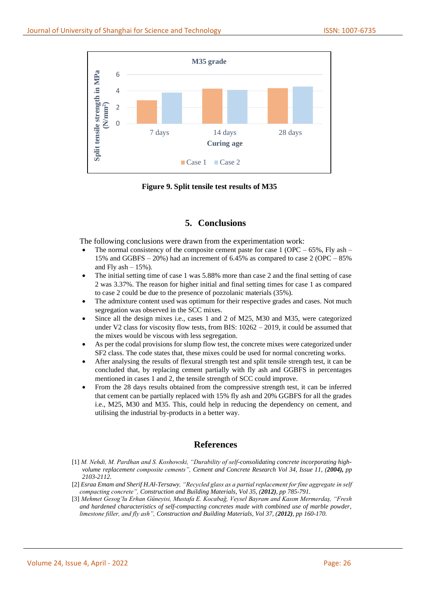

**Figure 9. Split tensile test results of M35**

# **5. Conclusions**

The following conclusions were drawn from the experimentation work:

- The normal consistency of the composite cement paste for case  $1 (OPC 65\%, Fly \text{ ash} -$ 15% and GGBFS – 20%) had an increment of 6.45% as compared to case 2 (OPC – 85% and Fly ash  $-15%$ ).
- The initial setting time of case 1 was 5.88% more than case 2 and the final setting of case 2 was 3.37%. The reason for higher initial and final setting times for case 1 as compared to case 2 could be due to the presence of pozzolanic materials (35%).
- The admixture content used was optimum for their respective grades and cases. Not much segregation was observed in the SCC mixes.
- Since all the design mixes i.e., cases 1 and 2 of M25, M30 and M35, were categorized under V2 class for viscosity flow tests, from BIS:  $10262 - 2019$ , it could be assumed that the mixes would be viscous with less segregation.
- As per the codal provisions for slump flow test, the concrete mixes were categorized under SF2 class. The code states that, these mixes could be used for normal concreting works.
- After analysing the results of flexural strength test and split tensile strength test, it can be concluded that, by replacing cement partially with fly ash and GGBFS in percentages mentioned in cases 1 and 2, the tensile strength of SCC could improve.
- From the 28 days results obtained from the compressive strength test, it can be inferred that cement can be partially replaced with 15% fly ash and 20% GGBFS for all the grades i.e., M25, M30 and M35. This, could help in reducing the dependency on cement, and utilising the industrial by-products in a better way.

# **References**

- [1] *M. Nehdi, M. Pardhan and S. Koshowski, "Durability of self-consolidating concrete incorporating highvolume replacement composite cements", Cement and Concrete Research Vol 34, Issue 11, (2004), pp 2103-2112.*
- [2] *Esraa Emam and Sherif H.Al-Tersawy, "Recycled glass as a partial replacement for fine aggregate in self compacting concrete", Construction and Building Materials, Vol 35, (2012), pp 785-791.*
- [3] *Mehmet Gesog˘lu Erhan Güneyisi, Mustafa E. Kocabağ, Veysel Bayram and Kasım Mermerdaş, "Fresh and hardened characteristics of self-compacting concretes made with combined use of marble powder, limestone filler, and fly ash", Construction and Building Materials, Vol 37, (2012), pp 160-170.*